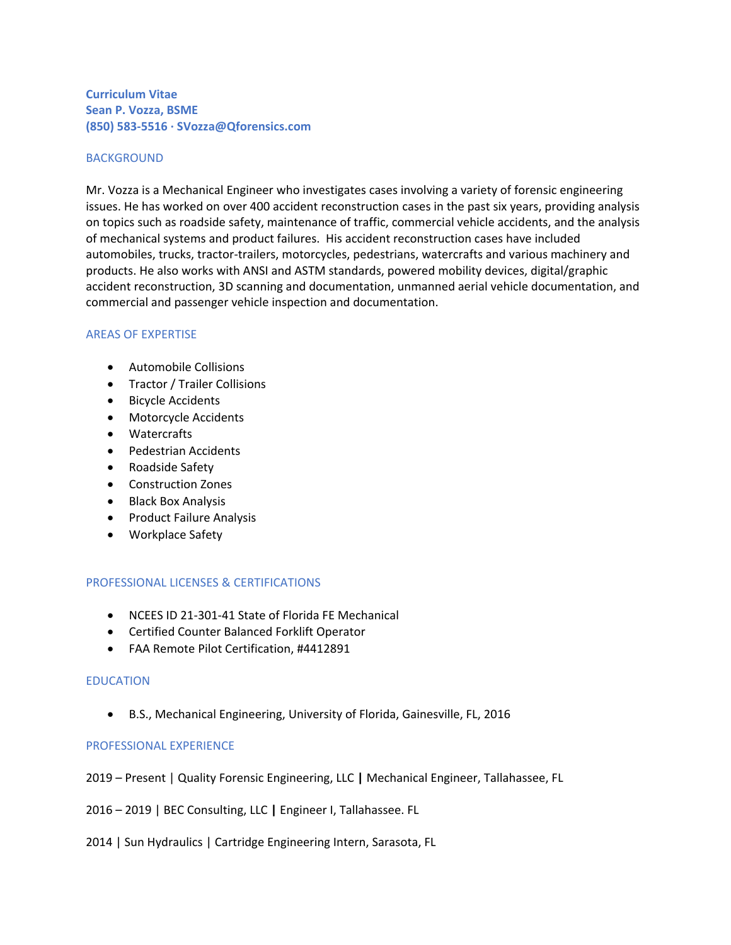# **Curriculum Vitae Sean P. Vozza, BSME (850) 583-5516 · SVozza@Qforensics.com**

### BACKGROUND

Mr. Vozza is a Mechanical Engineer who investigates cases involving a variety of forensic engineering issues. He has worked on over 400 accident reconstruction cases in the past six years, providing analysis on topics such as roadside safety, maintenance of traffic, commercial vehicle accidents, and the analysis of mechanical systems and product failures. His accident reconstruction cases have included automobiles, trucks, tractor-trailers, motorcycles, pedestrians, watercrafts and various machinery and products. He also works with ANSI and ASTM standards, powered mobility devices, digital/graphic accident reconstruction, 3D scanning and documentation, unmanned aerial vehicle documentation, and commercial and passenger vehicle inspection and documentation.

### AREAS OF EXPERTISE

- Automobile Collisions
- Tractor / Trailer Collisions
- Bicycle Accidents
- Motorcycle Accidents
- Watercrafts
- Pedestrian Accidents
- Roadside Safety
- Construction Zones
- Black Box Analysis
- Product Failure Analysis
- Workplace Safety

#### PROFESSIONAL LICENSES & CERTIFICATIONS

- NCEES ID 21-301-41 State of Florida FE Mechanical
- Certified Counter Balanced Forklift Operator
- FAA Remote Pilot Certification, #4412891

#### EDUCATION

• B.S., Mechanical Engineering, University of Florida, Gainesville, FL, 2016

#### PROFESSIONAL EXPERIENCE

- 2019 Present | Quality Forensic Engineering, LLC **|** Mechanical Engineer, Tallahassee, FL
- 2016 2019 | BEC Consulting, LLC **|** Engineer I, Tallahassee. FL
- 2014 | Sun Hydraulics | Cartridge Engineering Intern, Sarasota, FL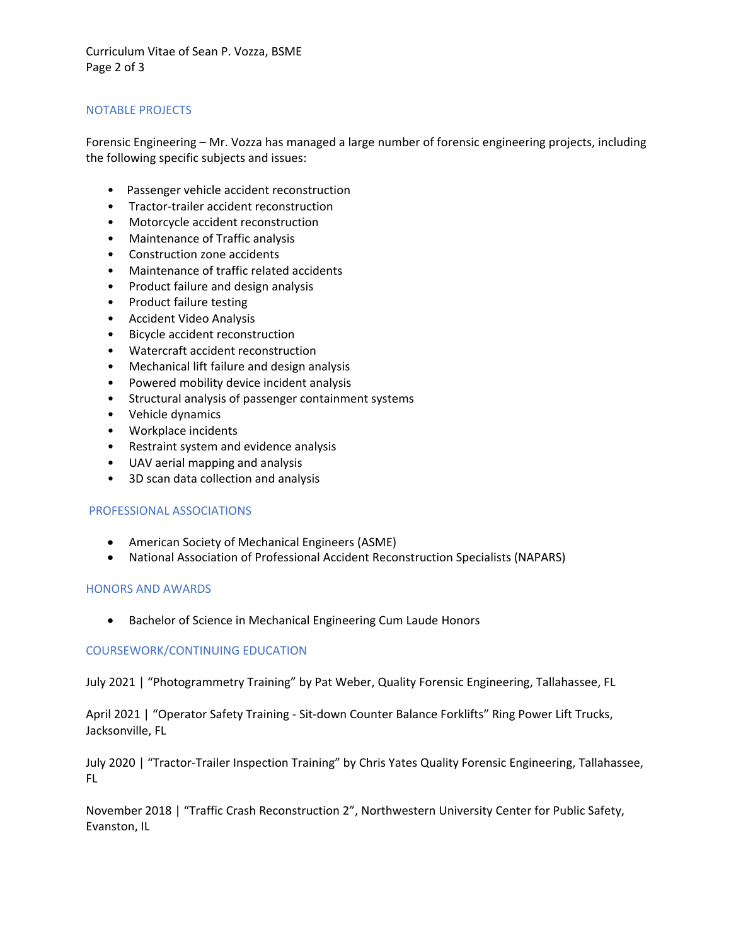Curriculum Vitae of Sean P. Vozza, BSME Page 2 of 3

# NOTABLE PROJECTS

Forensic Engineering – Mr. Vozza has managed a large number of forensic engineering projects, including the following specific subjects and issues:

- Passenger vehicle accident reconstruction
- Tractor-trailer accident reconstruction
- Motorcycle accident reconstruction
- Maintenance of Traffic analysis
- Construction zone accidents
- Maintenance of traffic related accidents
- Product failure and design analysis
- Product failure testing
- Accident Video Analysis
- Bicycle accident reconstruction
- Watercraft accident reconstruction
- Mechanical lift failure and design analysis
- Powered mobility device incident analysis
- Structural analysis of passenger containment systems
- Vehicle dynamics
- Workplace incidents
- Restraint system and evidence analysis
- UAV aerial mapping and analysis
- 3D scan data collection and analysis

#### PROFESSIONAL ASSOCIATIONS

- American Society of Mechanical Engineers (ASME)
- National Association of Professional Accident Reconstruction Specialists (NAPARS)

#### HONORS AND AWARDS

• Bachelor of Science in Mechanical Engineering Cum Laude Honors

#### COURSEWORK/CONTINUING EDUCATION

July 2021 | "Photogrammetry Training" by Pat Weber, Quality Forensic Engineering, Tallahassee, FL

April 2021 | "Operator Safety Training - Sit-down Counter Balance Forklifts" Ring Power Lift Trucks, Jacksonville, FL

July 2020 | "Tractor-Trailer Inspection Training" by Chris Yates Quality Forensic Engineering, Tallahassee, FL

November 2018 | "Traffic Crash Reconstruction 2", Northwestern University Center for Public Safety, Evanston, IL